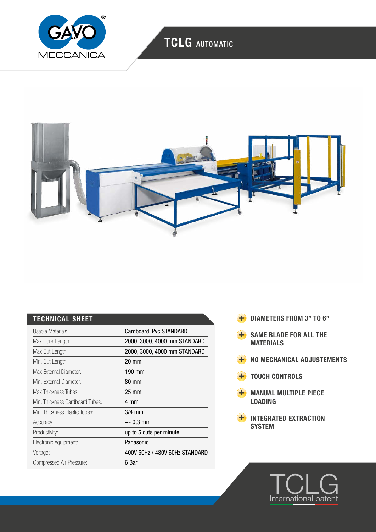

## TCLG AUTOMATIC



### TECHNICAL SHEET

| Usable Materials:               | Cardboard, Pvc STANDARD        |
|---------------------------------|--------------------------------|
| Max Core Length:                | 2000, 3000, 4000 mm STANDARD   |
| Max Cut Length:                 | 2000, 3000, 4000 mm STANDARD   |
| Min. Cut Length:                | 20 mm                          |
| Max External Diameter:          | 190 mm                         |
| Min. External Diameter:         | 80 mm                          |
| Max Thickness Tubes:            | $25 \text{ mm}$                |
| Min. Thickness Cardboard Tubes: | 4 mm                           |
| Min. Thickness Plastic Tubes:   | $3/4$ mm                       |
| Accuracy:                       | $+-0.3$ mm                     |
| Productivity:                   | up to 5 cuts per minute        |
| Electronic equipment:           | Panasonic                      |
| Voltages:                       | 400V 50Hz / 480V 60Hz STANDARD |
| Compressed Air Pressure:        | 6 Bar                          |

- **+** DIAMETERS FROM 3" TO 6"
- **+** SAME BLADE FOR ALL THE MATERIALS
- **H** NO MECHANICAL ADJUSTEMENTS
- **TOUCH CONTROLS**
- **H** MANUAL MULTIPLE PIECE LOADING
- **H** INTEGRATED EXTRACTION **SYSTEM**